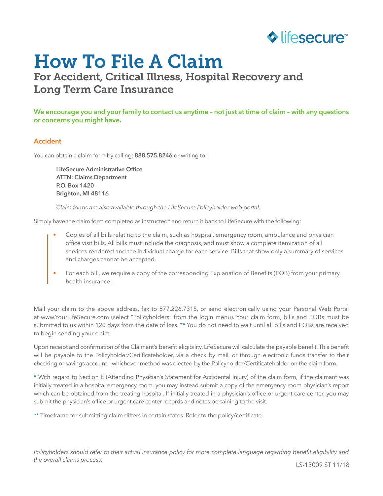

# How To File A Claim

## For Accident, Critical Illness, Hospital Recovery and Long Term Care Insurance

**We encourage you and your family to contact us anytime – not just at time of claim – with any questions or concerns you might have.** 

#### **Accident**

You can obtain a claim form by calling: **888.575.8246** or writing to:

**LifeSecure Administrative Office ATTN: Claims Department P.O. Box 1420 Brighton, MI 48116**

*Claim forms are also available through the LifeSecure Policyholder web portal.*

Simply have the claim form completed as instructed\* and return it back to LifeSecure with the following:

- Copies of all bills relating to the claim, such as hospital, emergency room, ambulance and physician office visit bills. All bills must include the diagnosis, and must show a complete itemization of all services rendered and the individual charge for each service. Bills that show only a summary of services and charges cannot be accepted.
- For each bill, we require a copy of the corresponding Explanation of Benefits (EOB) from your primary health insurance.

Mail your claim to the above address, fax to 877.226.7315, or send electronically using your Personal Web Portal at www.YourLifeSecure.com (select "Policyholders" from the login menu). Your claim form, bills and EOBs must be submitted to us within 120 days from the date of loss. \*\* You do not need to wait until all bills and EOBs are received to begin sending your claim.

Upon receipt and confirmation of the Claimant's benefit eligibility, LifeSecure will calculate the payable benefit.This benefit will be payable to the Policyholder/Certificateholder, via a check by mail, or through electronic funds transfer to their checking or savings account – whichever method was elected by the Policyholder/Certificateholder on the claim form.

\* With regard to Section E (Attending Physician's Statement for Accidental Injury) of the claim form, if the claimant was initially treated in a hospital emergency room, you may instead submit a copy of the emergency room physician's report which can be obtained from the treating hospital. If initially treated in a physician's office or urgent care center, you may submit the physician's office or urgent care center records and notes pertaining to the visit.

\*\* Timeframe for submitting claim differs in certain states. Refer to the policy/certificate.

*Policyholders should refer to their actual insurance policy for more complete language regarding benefit eligibility and the overall claims process.*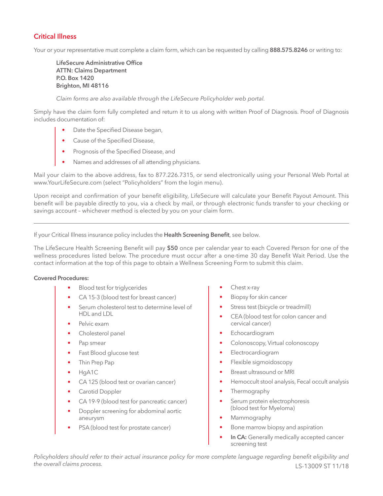#### **Critical Illness**

Your or your representative must complete a claim form, which can be requested by calling **888.575.8246** or writing to:

**LifeSecure Administrative Office ATTN: Claims Department P.O. Box 1420 Brighton, MI 48116**

*Claim forms are also available through the LifeSecure Policyholder web portal.*

Simply have the claim form fully completed and return it to us along with written Proof of Diagnosis. Proof of Diagnosis includes documentation of:

- Date the Specified Disease began,
- Cause of the Specified Disease,
- Prognosis of the Specified Disease, and
- Names and addresses of all attending physicians.

Mail your claim to the above address, fax to 877.226.7315, or send electronically using your Personal Web Portal at www.YourLifeSecure.com (select "Policyholders" from the login menu).

Upon receipt and confirmation of your benefit eligibility, LifeSecure will calculate your Benefit Payout Amount. This benefit will be payable directly to you, via a check by mail, or through electronic funds transfer to your checking or savings account – whichever method is elected by you on your claim form.

If your Critical Illness insurance policy includes the **Health Screening Benefit**, see below.

The LifeSecure Health Screening Benefit will pay **\$50** once per calendar year to each Covered Person for one of the wellness procedures listed below. The procedure must occur after a one-time 30 day Benefit Wait Period. Use the contact information at the top of this page to obtain a Wellness Screening Form to submit this claim.

#### **Covered Procedures:**

- Blood test for triglycerides
- CA 15-3 (blood test for breast cancer)
- Serum cholesterol test to determine level of HDL and LDL
- Pelvic exam
- Cholesterol panel
- Pap smear
- Fast Blood glucose test
- Thin Prep Pap
- HgA1C
- CA 125 (blood test or ovarian cancer)
- Carotid Doppler
- CA 19-9 (blood test for pancreatic cancer)
- Doppler screening for abdominal aortic aneurysm
- PSA (blood test for prostate cancer)
- Chest x-ray
- Biopsy for skin cancer
- Stress test (bicycle or treadmill)
- CEA (blood test for colon cancer and cervical cancer)
- **Echocardiogram**
- Colonoscopy, Virtual colonoscopy
- Electrocardiogram
- Flexible sigmoidoscopy
- Breast ultrasound or MRI
- Hemoccult stool analysis, Fecal occult analysis
- Thermography
- Serum protein electrophoresis (blood test for Myeloma)
- Mammography
- Bone marrow biopsy and aspiration
- In CA: Generally medically accepted cancer screening test

LS-13009 ST 11/18 *Policyholders should refer to their actual insurance policy for more complete language regarding benefit eligibility and the overall claims process.*